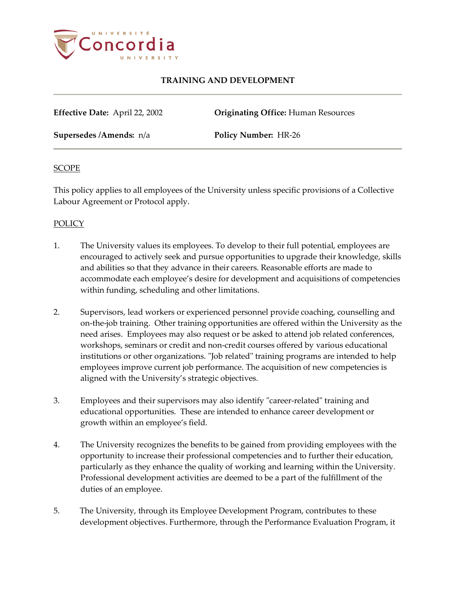

**Effective Date:** April 22, 2002 **Originating Office:** Human Resources

**Supersedes /Amends:** n/a **Policy Number:** HR-26

#### **SCOPE**

This policy applies to all employees of the University unless specific provisions of a Collective Labour Agreement or Protocol apply.

## **POLICY**

- 1. The University values its employees. To develop to their full potential, employees are encouraged to actively seek and pursue opportunities to upgrade their knowledge, skills and abilities so that they advance in their careers. Reasonable efforts are made to accommodate each employee's desire for development and acquisitions of competencies within funding, scheduling and other limitations.
- 2. Supervisors, lead workers or experienced personnel provide coaching, counselling and on-the-job training. Other training opportunities are offered within the University as the need arises. Employees may also request or be asked to attend job related conferences, workshops, seminars or credit and non-credit courses offered by various educational institutions or other organizations. "Job related" training programs are intended to help employees improve current job performance. The acquisition of new competencies is aligned with the University's strategic objectives.
- 3. Employees and their supervisors may also identify "career-related" training and educational opportunities. These are intended to enhance career development or growth within an employee's field.
- 4. The University recognizes the benefits to be gained from providing employees with the opportunity to increase their professional competencies and to further their education, particularly as they enhance the quality of working and learning within the University. Professional development activities are deemed to be a part of the fulfillment of the duties of an employee.
- 5. The University, through its Employee Development Program, contributes to these development objectives. Furthermore, through the Performance Evaluation Program, it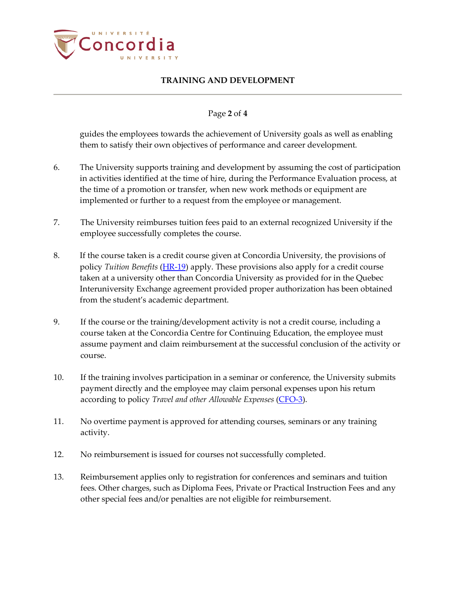

### Page **2** of **4**

guides the employees towards the achievement of University goals as well as enabling them to satisfy their own objectives of performance and career development.

- 6. The University supports training and development by assuming the cost of participation in activities identified at the time of hire, during the Performance Evaluation process, at the time of a promotion or transfer, when new work methods or equipment are implemented or further to a request from the employee or management.
- 7. The University reimburses tuition fees paid to an external recognized University if the employee successfully completes the course.
- 8. If the course taken is a credit course given at Concordia University, the provisions of policy *Tuition Benefits* [\(HR-19\)](http://www.concordia.ca/vpirsg/documents/policies/HR-19.pdf) apply. These provisions also apply for a credit course taken at a university other than Concordia University as provided for in the Quebec Interuniversity Exchange agreement provided proper authorization has been obtained from the student's academic department.
- 9. If the course or the training/development activity is not a credit course, including a course taken at the Concordia Centre for Continuing Education, the employee must assume payment and claim reimbursement at the successful conclusion of the activity or course.
- 10. If the training involves participation in a seminar or conference, the University submits payment directly and the employee may claim personal expenses upon his return according to policy *Travel and other Allowable Expenses* [\(CFO-3\)](http://www.concordia.ca/content/dam/common/docs/policies/official-policies/CFO-3.pdf).
- 11. No overtime payment is approved for attending courses, seminars or any training activity.
- 12. No reimbursement is issued for courses not successfully completed.
- 13. Reimbursement applies only to registration for conferences and seminars and tuition fees. Other charges, such as Diploma Fees, Private or Practical Instruction Fees and any other special fees and/or penalties are not eligible for reimbursement.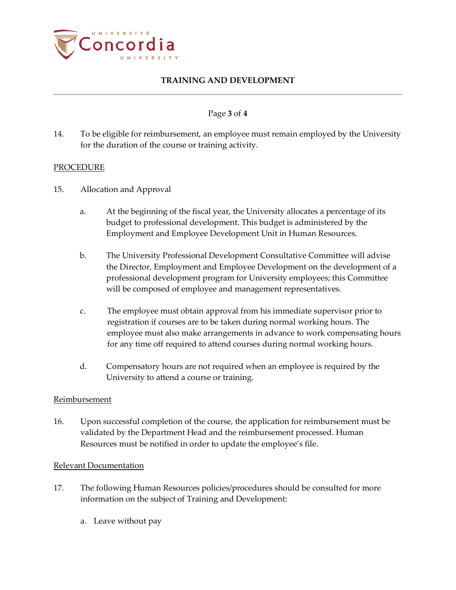

# Page **3** of **4**

14. To be eligible for reimbursement, an employee must remain employed by the University for the duration of the course or training activity.

#### PROCEDURE

- 15. Allocation and Approval
	- a. At the beginning of the fiscal year, the University allocates a percentage of its budget to professional development. This budget is administered by the Employment and Employee Development Unit in Human Resources.
	- b. The University Professional Development Consultative Committee will advise the Director, Employment and Employee Development on the development of a professional development program for University employees; this Committee will be composed of employee and management representatives.
	- c. The employee must obtain approval from his immediate supervisor prior to registration if courses are to be taken during normal working hours. The employee must also make arrangements in advance to work compensating hours for any time off required to attend courses during normal working hours.
	- d. Compensatory hours are not required when an employee is required by the University to attend a course or training.

#### Reimbursement

16. Upon successful completion of the course, the application for reimbursement must be validated by the Department Head and the reimbursement processed. Human Resources must be notified in order to update the employee's file.

#### Relevant Documentation

- 17. The following Human Resources policies/procedures should be consulted for more information on the subject of Training and Development:
	- a. Leave without pay